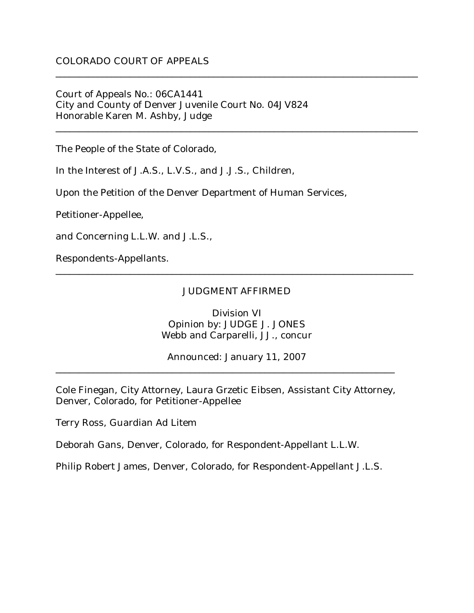### Court of Appeals No.: 06CA1441 City and County of Denver Juvenile Court No. 04JV824 Honorable Karen M. Ashby, Judge

The People of the State of Colorado,

In the Interest of J.A.S., L.V.S., and J.J.S., Children,

Upon the Petition of the Denver Department of Human Services,

Petitioner-Appellee,

and Concerning L.L.W. and J.L.S.,

Respondents-Appellants.

#### JUDGMENT AFFIRMED

\_\_\_\_\_\_\_\_\_\_\_\_\_\_\_\_\_\_\_\_\_\_\_\_\_\_\_\_\_\_\_\_\_\_\_\_\_\_\_\_\_\_\_\_\_\_\_\_\_\_\_\_\_\_\_\_\_\_\_\_\_\_\_\_\_\_\_\_\_\_\_\_\_\_\_\_\_

\_\_\_\_\_\_\_\_\_\_\_\_\_\_\_\_\_\_\_\_\_\_\_\_\_\_\_\_\_\_\_\_\_\_\_\_\_\_\_\_\_\_\_\_\_\_\_\_\_\_\_\_\_\_\_\_\_\_\_\_\_\_\_\_\_\_\_\_\_\_\_\_\_\_\_\_\_\_

\_\_\_\_\_\_\_\_\_\_\_\_\_\_\_\_\_\_\_\_\_\_\_\_\_\_\_\_\_\_\_\_\_\_\_\_\_\_\_\_\_\_\_\_\_\_\_\_\_\_\_\_\_\_\_\_\_\_\_\_\_\_\_\_\_\_\_\_\_\_\_\_\_\_\_\_\_\_

Division VI Opinion by: JUDGE J. JONES Webb and Carparelli, JJ., concur

Announced: January 11, 2007

Cole Finegan, City Attorney, Laura Grzetic Eibsen, Assistant City Attorney, Denver, Colorado, for Petitioner-Appellee

\_\_\_\_\_\_\_\_\_\_\_\_\_\_\_\_\_\_\_\_\_\_\_\_\_\_\_\_\_\_\_\_\_\_\_\_\_\_\_\_\_\_\_\_\_\_\_\_\_\_\_\_\_\_\_\_\_\_\_\_\_\_\_\_\_\_\_\_\_\_\_\_\_

Terry Ross, Guardian Ad Litem

Deborah Gans, Denver, Colorado, for Respondent-Appellant L.L.W.

Philip Robert James, Denver, Colorado, for Respondent-Appellant J.L.S.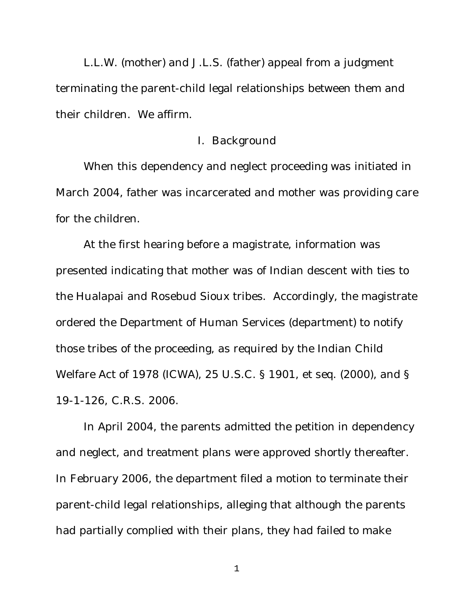L.L.W. (mother) and J.L.S. (father) appeal from a judgment terminating the parent-child legal relationships between them and their children. We affirm.

#### I. Background

When this dependency and neglect proceeding was initiated in March 2004, father was incarcerated and mother was providing care for the children.

At the first hearing before a magistrate, information was presented indicating that mother was of Indian descent with ties to the Hualapai and Rosebud Sioux tribes. Accordingly, the magistrate ordered the Department of Human Services (department) to notify those tribes of the proceeding, as required by the Indian Child Welfare Act of 1978 (ICWA), 25 U.S.C. § 1901, et seq. (2000), and § 19-1-126, C.R.S. 2006.

In April 2004, the parents admitted the petition in dependency and neglect, and treatment plans were approved shortly thereafter. In February 2006, the department filed a motion to terminate their parent-child legal relationships, alleging that although the parents had partially complied with their plans, they had failed to make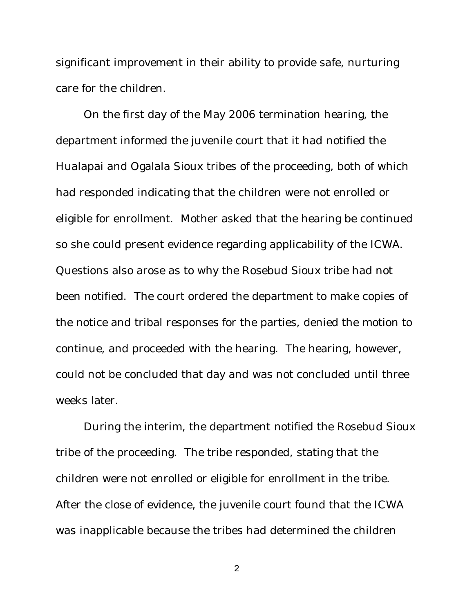significant improvement in their ability to provide safe, nurturing care for the children.

On the first day of the May 2006 termination hearing, the department informed the juvenile court that it had notified the Hualapai and Ogalala Sioux tribes of the proceeding, both of which had responded indicating that the children were not enrolled or eligible for enrollment. Mother asked that the hearing be continued so she could present evidence regarding applicability of the ICWA. Questions also arose as to why the Rosebud Sioux tribe had not been notified. The court ordered the department to make copies of the notice and tribal responses for the parties, denied the motion to continue, and proceeded with the hearing. The hearing, however, could not be concluded that day and was not concluded until three weeks later.

During the interim, the department notified the Rosebud Sioux tribe of the proceeding. The tribe responded, stating that the children were not enrolled or eligible for enrollment in the tribe. After the close of evidence, the juvenile court found that the ICWA was inapplicable because the tribes had determined the children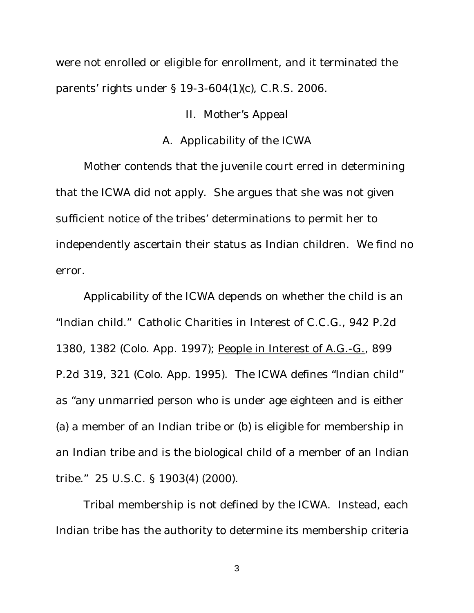were not enrolled or eligible for enrollment, and it terminated the parents' rights under § 19-3-604(1)(c), C.R.S. 2006.

# II. Mother's Appeal

# A. Applicability of the ICWA

Mother contends that the juvenile court erred in determining that the ICWA did not apply. She argues that she was not given sufficient notice of the tribes' determinations to permit her to independently ascertain their status as Indian children. We find no error.

Applicability of the ICWA depends on whether the child is an "Indian child." Catholic Charities in Interest of C.C.G., 942 P.2d 1380, 1382 (Colo. App. 1997); People in Interest of A.G.-G., 899 P.2d 319, 321 (Colo. App. 1995). The ICWA defines "Indian child" as "any unmarried person who is under age eighteen and is either (a) a member of an Indian tribe or (b) is eligible for membership in an Indian tribe and is the biological child of a member of an Indian tribe." 25 U.S.C. § 1903(4) (2000).

Tribal membership is not defined by the ICWA. Instead, each Indian tribe has the authority to determine its membership criteria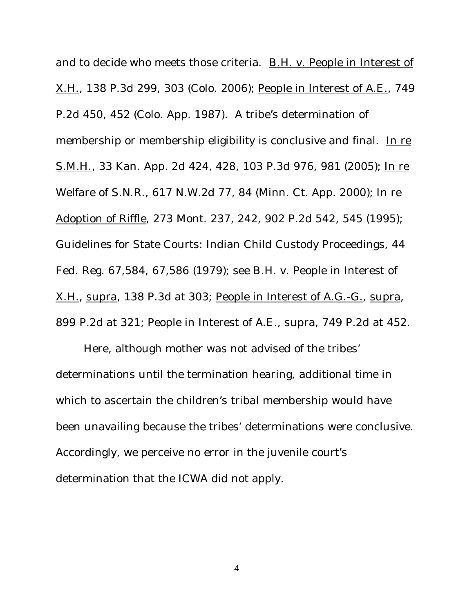and to decide who meets those criteria. B.H. v. People in Interest of X.H., 138 P.3d 299, 303 (Colo. 2006); People in Interest of A.E., 749 P.2d 450, 452 (Colo. App. 1987). A tribe's determination of membership or membership eligibility is conclusive and final. In re S.M.H., 33 Kan. App. 2d 424, 428, 103 P.3d 976, 981 (2005); In re Welfare of S.N.R., 617 N.W.2d 77, 84 (Minn. Ct. App. 2000); In re Adoption of Riffle, 273 Mont. 237, 242, 902 P.2d 542, 545 (1995); Guidelines for State Courts: Indian Child Custody Proceedings, 44 Fed. Reg. 67,584, 67,586 (1979); see B.H. v. People in Interest of X.H., supra, 138 P.3d at 303; People in Interest of A.G.-G., supra, 899 P.2d at 321; People in Interest of A.E., supra, 749 P.2d at 452.

Here, although mother was not advised of the tribes' determinations until the termination hearing, additional time in which to ascertain the children's tribal membership would have been unavailing because the tribes' determinations were conclusive. Accordingly, we perceive no error in the juvenile court's determination that the ICWA did not apply.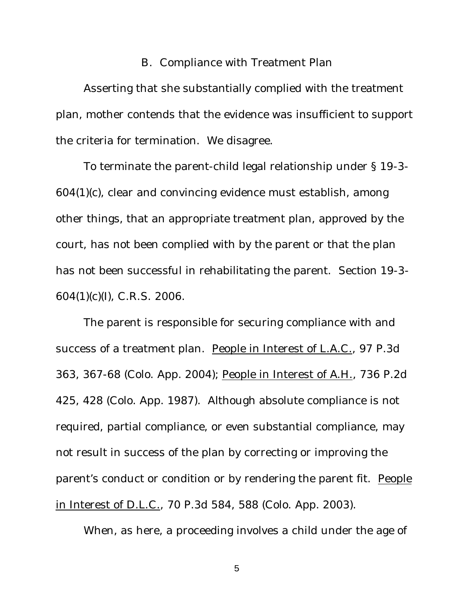## B. Compliance with Treatment Plan

Asserting that she substantially complied with the treatment plan, mother contends that the evidence was insufficient to support the criteria for termination. We disagree.

To terminate the parent-child legal relationship under § 19-3- 604(1)(c), clear and convincing evidence must establish, among other things, that an appropriate treatment plan, approved by the court, has not been complied with by the parent or that the plan has not been successful in rehabilitating the parent. Section 19-3- 604(1)(c)(I), C.R.S. 2006.

The parent is responsible for securing compliance with and success of a treatment plan. People in Interest of L.A.C., 97 P.3d 363, 367-68 (Colo. App. 2004); People in Interest of A.H., 736 P.2d 425, 428 (Colo. App. 1987). Although absolute compliance is not required, partial compliance, or even substantial compliance, may not result in success of the plan by correcting or improving the parent's conduct or condition or by rendering the parent fit. People in Interest of D.L.C., 70 P.3d 584, 588 (Colo. App. 2003).

When, as here, a proceeding involves a child under the age of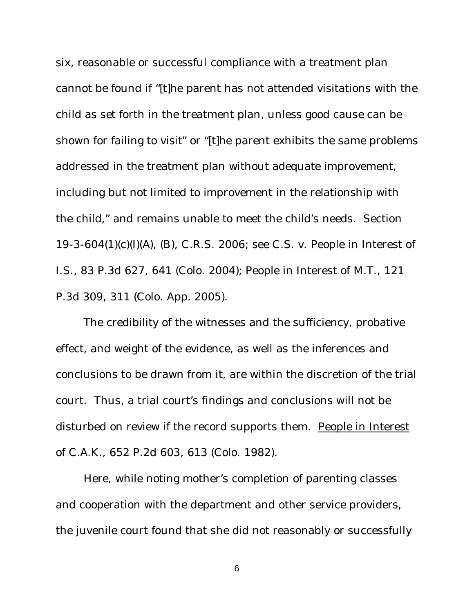six, reasonable or successful compliance with a treatment plan cannot be found if "[t]he parent has not attended visitations with the child as set forth in the treatment plan, unless good cause can be shown for failing to visit" or "[t]he parent exhibits the same problems addressed in the treatment plan without adequate improvement, including but not limited to improvement in the relationship with the child," and remains unable to meet the child's needs. Section 19-3-604(1)(c)(I)(A), (B), C.R.S. 2006; see C.S. v. People in Interest of I.S., 83 P.3d 627, 641 (Colo. 2004); People in Interest of M.T., 121 P.3d 309, 311 (Colo. App. 2005).

The credibility of the witnesses and the sufficiency, probative effect, and weight of the evidence, as well as the inferences and conclusions to be drawn from it, are within the discretion of the trial court. Thus, a trial court's findings and conclusions will not be disturbed on review if the record supports them. People in Interest of C.A.K., 652 P.2d 603, 613 (Colo. 1982).

Here, while noting mother's completion of parenting classes and cooperation with the department and other service providers, the juvenile court found that she did not reasonably or successfully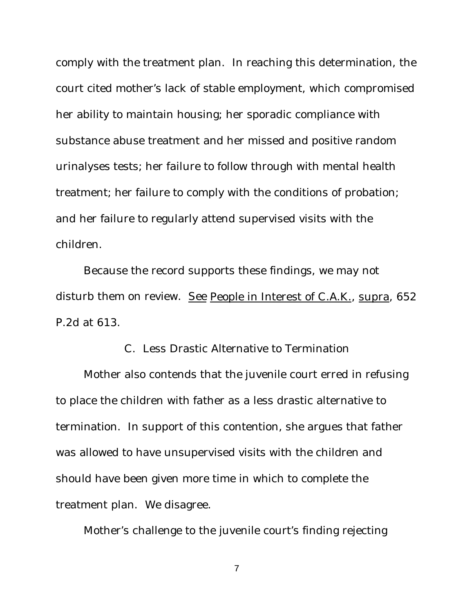comply with the treatment plan. In reaching this determination, the court cited mother's lack of stable employment, which compromised her ability to maintain housing; her sporadic compliance with substance abuse treatment and her missed and positive random urinalyses tests; her failure to follow through with mental health treatment; her failure to comply with the conditions of probation; and her failure to regularly attend supervised visits with the children.

Because the record supports these findings, we may not disturb them on review. See People in Interest of C.A.K., supra, 652 P.2d at 613.

#### C. Less Drastic Alternative to Termination

Mother also contends that the juvenile court erred in refusing to place the children with father as a less drastic alternative to termination. In support of this contention, she argues that father was allowed to have unsupervised visits with the children and should have been given more time in which to complete the treatment plan. We disagree.

Mother's challenge to the juvenile court's finding rejecting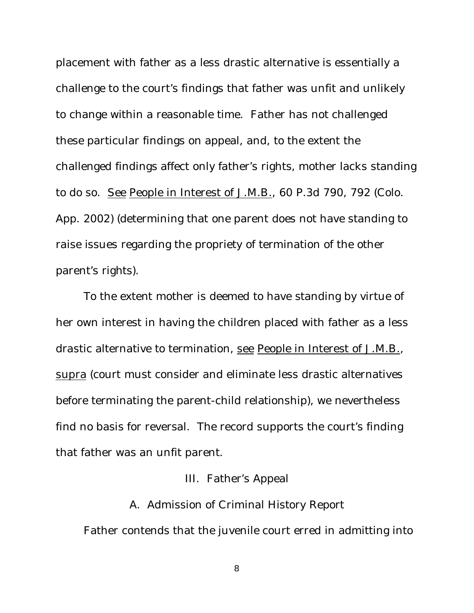placement with father as a less drastic alternative is essentially a challenge to the court's findings that father was unfit and unlikely to change within a reasonable time. Father has not challenged these particular findings on appeal, and, to the extent the challenged findings affect only father's rights, mother lacks standing to do so. See People in Interest of J.M.B., 60 P.3d 790, 792 (Colo. App. 2002) (determining that one parent does not have standing to raise issues regarding the propriety of termination of the other parent's rights).

To the extent mother is deemed to have standing by virtue of her own interest in having the children placed with father as a less drastic alternative to termination, see People in Interest of J.M.B., supra (court must consider and eliminate less drastic alternatives before terminating the parent-child relationship), we nevertheless find no basis for reversal. The record supports the court's finding that father was an unfit parent.

# III. Father's Appeal

A. Admission of Criminal History Report Father contends that the juvenile court erred in admitting into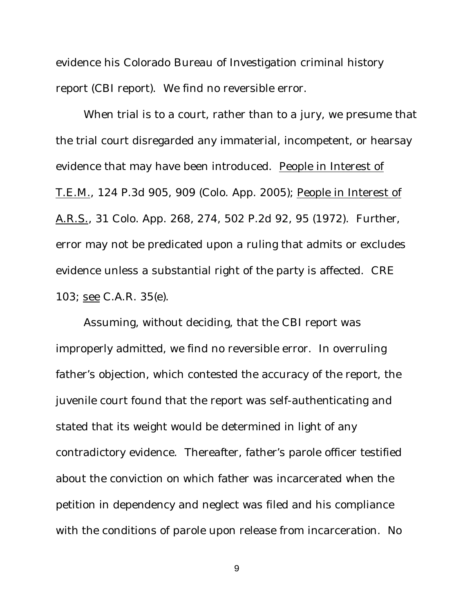evidence his Colorado Bureau of Investigation criminal history report (CBI report). We find no reversible error.

When trial is to a court, rather than to a jury, we presume that the trial court disregarded any immaterial, incompetent, or hearsay evidence that may have been introduced. People in Interest of T.E.M., 124 P.3d 905, 909 (Colo. App. 2005); People in Interest of A.R.S., 31 Colo. App. 268, 274, 502 P.2d 92, 95 (1972). Further, error may not be predicated upon a ruling that admits or excludes evidence unless a substantial right of the party is affected. CRE 103; see C.A.R. 35(e).

Assuming, without deciding, that the CBI report was improperly admitted, we find no reversible error. In overruling father's objection, which contested the accuracy of the report, the juvenile court found that the report was self-authenticating and stated that its weight would be determined in light of any contradictory evidence. Thereafter, father's parole officer testified about the conviction on which father was incarcerated when the petition in dependency and neglect was filed and his compliance with the conditions of parole upon release from incarceration. No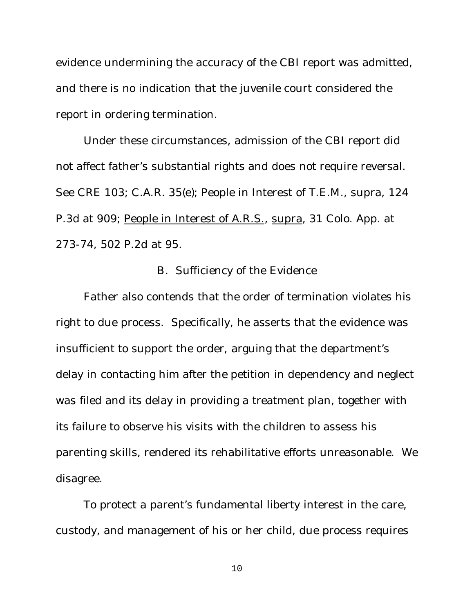evidence undermining the accuracy of the CBI report was admitted, and there is no indication that the juvenile court considered the report in ordering termination.

Under these circumstances, admission of the CBI report did not affect father's substantial rights and does not require reversal. See CRE 103; C.A.R. 35(e); People in Interest of T.E.M., supra, 124 P.3d at 909; People in Interest of A.R.S., supra, 31 Colo. App. at 273-74, 502 P.2d at 95.

## B. Sufficiency of the Evidence

Father also contends that the order of termination violates his right to due process. Specifically, he asserts that the evidence was insufficient to support the order, arguing that the department's delay in contacting him after the petition in dependency and neglect was filed and its delay in providing a treatment plan, together with its failure to observe his visits with the children to assess his parenting skills, rendered its rehabilitative efforts unreasonable. We disagree.

To protect a parent's fundamental liberty interest in the care, custody, and management of his or her child, due process requires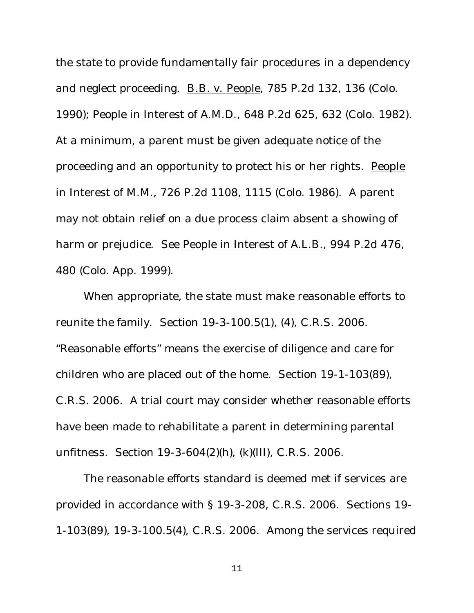the state to provide fundamentally fair procedures in a dependency and neglect proceeding. B.B. v. People, 785 P.2d 132, 136 (Colo. 1990); People in Interest of A.M.D., 648 P.2d 625, 632 (Colo. 1982). At a minimum, a parent must be given adequate notice of the proceeding and an opportunity to protect his or her rights. People in Interest of M.M., 726 P.2d 1108, 1115 (Colo. 1986). A parent may not obtain relief on a due process claim absent a showing of harm or prejudice. See People in Interest of A.L.B., 994 P.2d 476, 480 (Colo. App. 1999).

When appropriate, the state must make reasonable efforts to reunite the family. Section 19-3-100.5(1), (4), C.R.S. 2006. "Reasonable efforts" means the exercise of diligence and care for children who are placed out of the home. Section 19-1-103(89), C.R.S. 2006. A trial court may consider whether reasonable efforts have been made to rehabilitate a parent in determining parental unfitness. Section 19-3-604(2)(h), (k)(III), C.R.S. 2006.

The reasonable efforts standard is deemed met if services are provided in accordance with § 19-3-208, C.R.S. 2006. Sections 19- 1-103(89), 19-3-100.5(4), C.R.S. 2006. Among the services required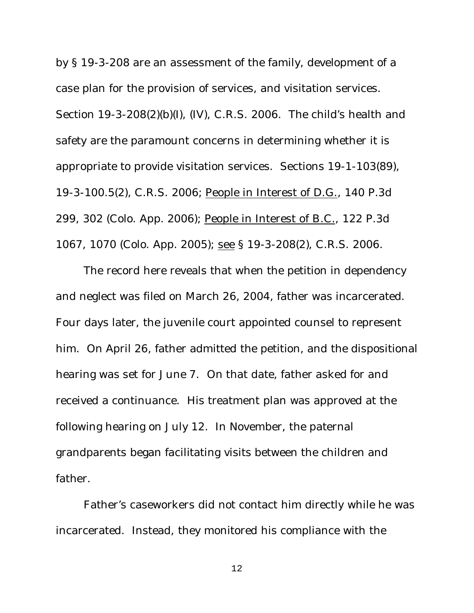by § 19-3-208 are an assessment of the family, development of a case plan for the provision of services, and visitation services. Section 19-3-208(2)(b)(I), (IV), C.R.S. 2006. The child's health and safety are the paramount concerns in determining whether it is appropriate to provide visitation services. Sections 19-1-103(89), 19-3-100.5(2), C.R.S. 2006; People in Interest of D.G., 140 P.3d 299, 302 (Colo. App. 2006); People in Interest of B.C., 122 P.3d 1067, 1070 (Colo. App. 2005); see § 19-3-208(2), C.R.S. 2006.

The record here reveals that when the petition in dependency and neglect was filed on March 26, 2004, father was incarcerated. Four days later, the juvenile court appointed counsel to represent him. On April 26, father admitted the petition, and the dispositional hearing was set for June 7. On that date, father asked for and received a continuance. His treatment plan was approved at the following hearing on July 12. In November, the paternal grandparents began facilitating visits between the children and father.

Father's caseworkers did not contact him directly while he was incarcerated. Instead, they monitored his compliance with the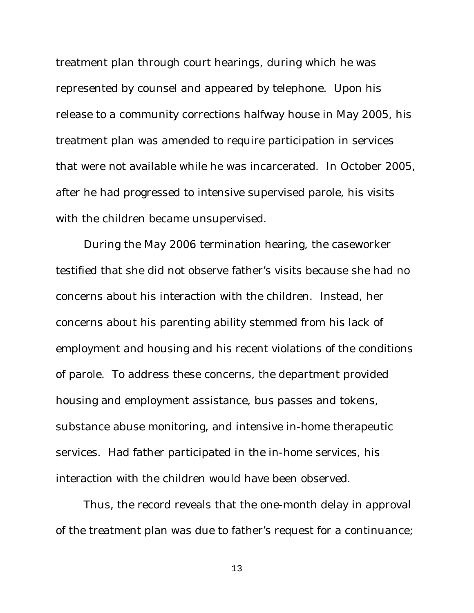treatment plan through court hearings, during which he was represented by counsel and appeared by telephone. Upon his release to a community corrections halfway house in May 2005, his treatment plan was amended to require participation in services that were not available while he was incarcerated. In October 2005, after he had progressed to intensive supervised parole, his visits with the children became unsupervised.

During the May 2006 termination hearing, the caseworker testified that she did not observe father's visits because she had no concerns about his interaction with the children. Instead, her concerns about his parenting ability stemmed from his lack of employment and housing and his recent violations of the conditions of parole. To address these concerns, the department provided housing and employment assistance, bus passes and tokens, substance abuse monitoring, and intensive in-home therapeutic services. Had father participated in the in-home services, his interaction with the children would have been observed.

Thus, the record reveals that the one-month delay in approval of the treatment plan was due to father's request for a continuance;